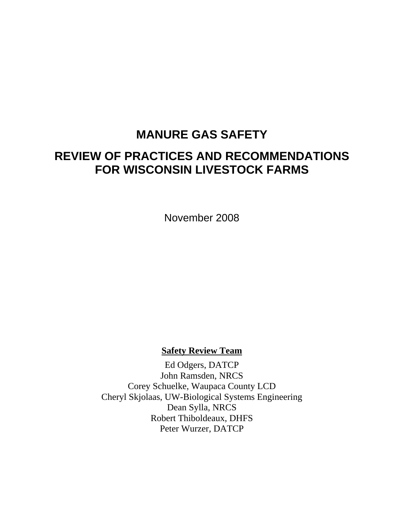# **MANURE GAS SAFETY**

# **REVIEW OF PRACTICES AND RECOMMENDATIONS FOR WISCONSIN LIVESTOCK FARMS**

November 2008

## **Safety Review Team**

Ed Odgers, DATCP John Ramsden, NRCS Corey Schuelke, Waupaca County LCD Cheryl Skjolaas, UW-Biological Systems Engineering Dean Sylla, NRCS Robert Thiboldeaux, DHFS Peter Wurzer, DATCP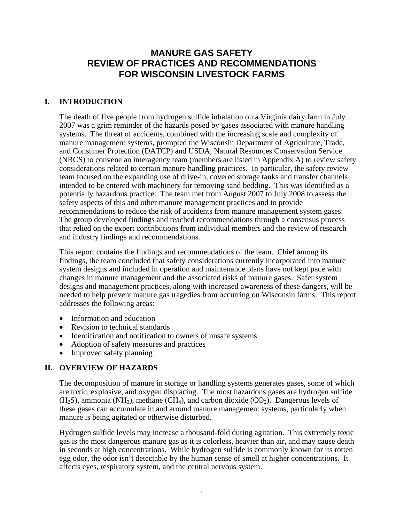# **MANURE GAS SAFETY REVIEW OF PRACTICES AND RECOMMENDATIONS FOR WISCONSIN LIVESTOCK FARMS**

## **I. INTRODUCTION**

The death of five people from hydrogen sulfide inhalation on a Virginia dairy farm in July 2007 was a grim reminder of the hazards posed by gases associated with manure handling systems. The threat of accidents, combined with the increasing scale and complexity of manure management systems, prompted the Wisconsin Department of Agriculture, Trade, and Consumer Protection (DATCP) and USDA, Natural Resources Conservation Service (NRCS) to convene an interagency team (members are listed in Appendix A) to review safety considerations related to certain manure handling practices. In particular, the safety review team focused on the expanding use of drive-in, covered storage tanks and transfer channels intended to be entered with machinery for removing sand bedding. This was identified as a potentially hazardous practice. The team met from August 2007 to July 2008 to assess the safety aspects of this and other manure management practices and to provide recommendations to reduce the risk of accidents from manure management system gases. The group developed findings and reached recommendations through a consensus process that relied on the expert contributions from individual members and the review of research and industry findings and recommendations.

This report contains the findings and recommendations of the team. Chief among its findings, the team concluded that safety considerations currently incorporated into manure system designs and included in operation and maintenance plans have not kept pace with changes in manure management and the associated risks of manure gases. Safer system designs and management practices, along with increased awareness of these dangers, will be needed to help prevent manure gas tragedies from occurring on Wisconsin farms. This report addresses the following areas:

- Information and education
- Revision to technical standards
- Identification and notification to owners of unsafe systems
- Adoption of safety measures and practices
- Improved safety planning

## **II. OVERVIEW OF HAZARDS**

The decomposition of manure in storage or handling systems generates gases, some of which are toxic, explosive, and oxygen displacing. The most hazardous gases are hydrogen sulfide  $(H<sub>2</sub>S)$ , ammonia (NH<sub>3</sub>), methane (CH<sub>4</sub>), and carbon dioxide (CO<sub>2</sub>). Dangerous levels of these gases can accumulate in and around manure management systems, particularly when manure is being agitated or otherwise disturbed.

Hydrogen sulfide levels may increase a thousand-fold during agitation. This extremely toxic gas is the most dangerous manure gas as it is colorless, heavier than air, and may cause death in seconds at high concentrations. While hydrogen sulfide is commonly known for its rotten egg odor, the odor isn't detectable by the human sense of smell at higher concentrations. It affects eyes, respiratory system, and the central nervous system.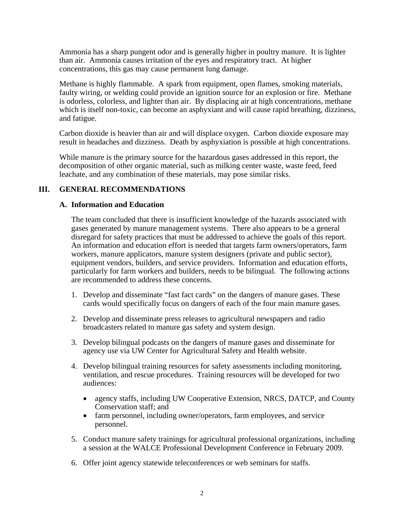Ammonia has a sharp pungent odor and is generally higher in poultry manure. It is lighter than air. Ammonia causes irritation of the eyes and respiratory tract. At higher concentrations, this gas may cause permanent lung damage.

Methane is highly flammable. A spark from equipment, open flames, smoking materials, faulty wiring, or welding could provide an ignition source for an explosion or fire. Methane is odorless, colorless, and lighter than air. By displacing air at high concentrations, methane which is itself non-toxic, can become an asphyxiant and will cause rapid breathing, dizziness, and fatigue.

Carbon dioxide is heavier than air and will displace oxygen. Carbon dioxide exposure may result in headaches and dizziness. Death by asphyxiation is possible at high concentrations.

While manure is the primary source for the hazardous gases addressed in this report, the decomposition of other organic material, such as milking center waste, waste feed, feed leachate, and any combination of these materials, may pose similar risks.

## **III. GENERAL RECOMMENDATIONS**

## **A. Information and Education**

The team concluded that there is insufficient knowledge of the hazards associated with gases generated by manure management systems. There also appears to be a general disregard for safety practices that must be addressed to achieve the goals of this report. An information and education effort is needed that targets farm owners/operators, farm workers, manure applicators, manure system designers (private and public sector), equipment vendors, builders, and service providers. Information and education efforts, particularly for farm workers and builders, needs to be bilingual. The following actions are recommended to address these concerns.

- 1. Develop and disseminate "fast fact cards" on the dangers of manure gases. These cards would specifically focus on dangers of each of the four main manure gases.
- 2. Develop and disseminate press releases to agricultural newspapers and radio broadcasters related to manure gas safety and system design.
- 3. Develop bilingual podcasts on the dangers of manure gases and disseminate for agency use via UW Center for Agricultural Safety and Health website.
- 4. Develop bilingual training resources for safety assessments including monitoring, ventilation, and rescue procedures. Training resources will be developed for two audiences:
	- agency staffs, including UW Cooperative Extension, NRCS, DATCP, and County Conservation staff; and
	- farm personnel, including owner/operators, farm employees, and service personnel.
- 5. Conduct manure safety trainings for agricultural professional organizations, including a session at the WALCE Professional Development Conference in February 2009.
- 6. Offer joint agency statewide teleconferences or web seminars for staffs.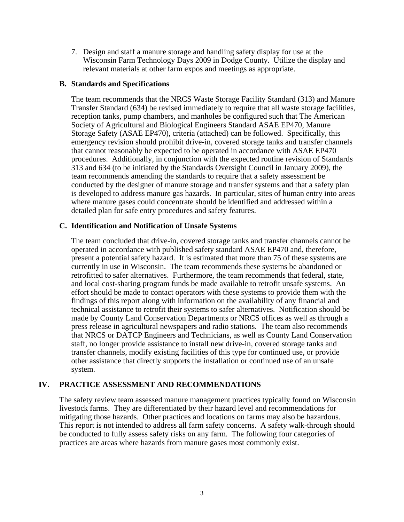7. Design and staff a manure storage and handling safety display for use at the Wisconsin Farm Technology Days 2009 in Dodge County. Utilize the display and relevant materials at other farm expos and meetings as appropriate.

## **B. Standards and Specifications**

The team recommends that the NRCS Waste Storage Facility Standard (313) and Manure Transfer Standard (634) be revised immediately to require that all waste storage facilities, reception tanks, pump chambers, and manholes be configured such that The American Society of Agricultural and Biological Engineers Standard ASAE EP470, Manure Storage Safety (ASAE EP470), criteria (attached) can be followed. Specifically, this emergency revision should prohibit drive-in, covered storage tanks and transfer channels that cannot reasonably be expected to be operated in accordance with ASAE EP470 procedures. Additionally, in conjunction with the expected routine revision of Standards 313 and 634 (to be initiated by the Standards Oversight Council in January 2009), the team recommends amending the standards to require that a safety assessment be conducted by the designer of manure storage and transfer systems and that a safety plan is developed to address manure gas hazards. In particular, sites of human entry into areas where manure gases could concentrate should be identified and addressed within a detailed plan for safe entry procedures and safety features.

## **C. Identification and Notification of Unsafe Systems**

The team concluded that drive-in, covered storage tanks and transfer channels cannot be operated in accordance with published safety standard ASAE EP470 and, therefore, present a potential safety hazard. It is estimated that more than 75 of these systems are currently in use in Wisconsin. The team recommends these systems be abandoned or retrofitted to safer alternatives. Furthermore, the team recommends that federal, state, and local cost-sharing program funds be made available to retrofit unsafe systems. An effort should be made to contact operators with these systems to provide them with the findings of this report along with information on the availability of any financial and technical assistance to retrofit their systems to safer alternatives. Notification should be made by County Land Conservation Departments or NRCS offices as well as through a press release in agricultural newspapers and radio stations. The team also recommends that NRCS or DATCP Engineers and Technicians, as well as County Land Conservation staff, no longer provide assistance to install new drive-in, covered storage tanks and transfer channels, modify existing facilities of this type for continued use, or provide other assistance that directly supports the installation or continued use of an unsafe system.

## **IV. PRACTICE ASSESSMENT AND RECOMMENDATIONS**

The safety review team assessed manure management practices typically found on Wisconsin livestock farms. They are differentiated by their hazard level and recommendations for mitigating those hazards. Other practices and locations on farms may also be hazardous. This report is not intended to address all farm safety concerns. A safety walk-through should be conducted to fully assess safety risks on any farm. The following four categories of practices are areas where hazards from manure gases most commonly exist.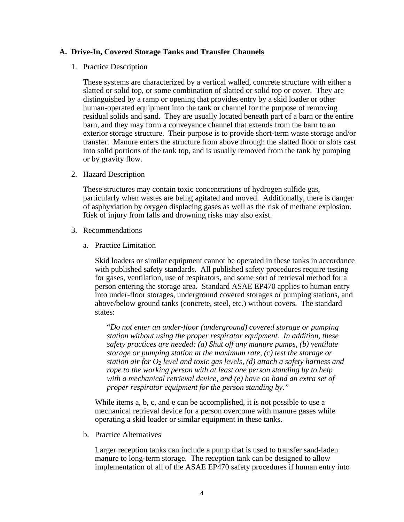## **A. Drive-In, Covered Storage Tanks and Transfer Channels**

1. Practice Description

These systems are characterized by a vertical walled, concrete structure with either a slatted or solid top, or some combination of slatted or solid top or cover. They are distinguished by a ramp or opening that provides entry by a skid loader or other human-operated equipment into the tank or channel for the purpose of removing residual solids and sand. They are usually located beneath part of a barn or the entire barn, and they may form a conveyance channel that extends from the barn to an exterior storage structure. Their purpose is to provide short-term waste storage and/or transfer. Manure enters the structure from above through the slatted floor or slots cast into solid portions of the tank top, and is usually removed from the tank by pumping or by gravity flow.

2. Hazard Description

These structures may contain toxic concentrations of hydrogen sulfide gas, particularly when wastes are being agitated and moved. Additionally, there is danger of asphyxiation by oxygen displacing gases as well as the risk of methane explosion. Risk of injury from falls and drowning risks may also exist.

- 3. Recommendations
	- a. Practice Limitation

Skid loaders or similar equipment cannot be operated in these tanks in accordance with published safety standards. All published safety procedures require testing for gases, ventilation, use of respirators, and some sort of retrieval method for a person entering the storage area. Standard ASAE EP470 applies to human entry into under-floor storages, underground covered storages or pumping stations, and above/below ground tanks (concrete, steel, etc.) without covers. The standard states:

"*Do not enter an under-floor (underground) covered storage or pumping station without using the proper respirator equipment. In addition, these safety practices are needed: (a) Shut off any manure pumps, (b) ventilate storage or pumping station at the maximum rate, (c) test the storage or station air for*  $O_2$  *level and toxic gas levels, (d) attach a safety harness and rope to the working person with at least one person standing by to help with a mechanical retrieval device, and (e) have on hand an extra set of proper respirator equipment for the person standing by."*

While items a, b, c, and e can be accomplished, it is not possible to use a mechanical retrieval device for a person overcome with manure gases while operating a skid loader or similar equipment in these tanks.

b. Practice Alternatives

Larger reception tanks can include a pump that is used to transfer sand-laden manure to long-term storage. The reception tank can be designed to allow implementation of all of the ASAE EP470 safety procedures if human entry into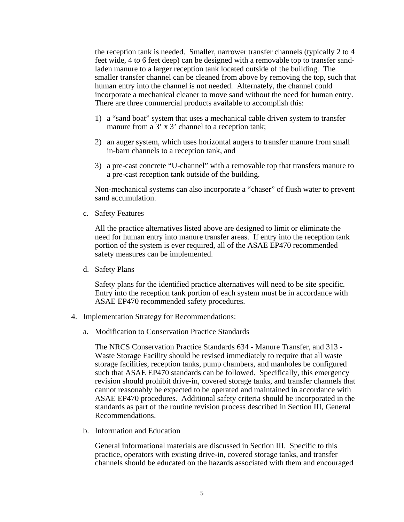the reception tank is needed. Smaller, narrower transfer channels (typically 2 to 4 feet wide, 4 to 6 feet deep) can be designed with a removable top to transfer sandladen manure to a larger reception tank located outside of the building. The smaller transfer channel can be cleaned from above by removing the top, such that human entry into the channel is not needed. Alternately, the channel could incorporate a mechanical cleaner to move sand without the need for human entry. There are three commercial products available to accomplish this:

- 1) a "sand boat" system that uses a mechanical cable driven system to transfer manure from a 3' x 3' channel to a reception tank;
- 2) an auger system, which uses horizontal augers to transfer manure from small in-barn channels to a reception tank, and
- 3) a pre-cast concrete "U-channel" with a removable top that transfers manure to a pre-cast reception tank outside of the building.

Non-mechanical systems can also incorporate a "chaser" of flush water to prevent sand accumulation.

c. Safety Features

All the practice alternatives listed above are designed to limit or eliminate the need for human entry into manure transfer areas. If entry into the reception tank portion of the system is ever required, all of the ASAE EP470 recommended safety measures can be implemented.

d. Safety Plans

Safety plans for the identified practice alternatives will need to be site specific. Entry into the reception tank portion of each system must be in accordance with ASAE EP470 recommended safety procedures.

- 4. Implementation Strategy for Recommendations:
	- a. Modification to Conservation Practice Standards

The NRCS Conservation Practice Standards 634 - Manure Transfer, and 313 - Waste Storage Facility should be revised immediately to require that all waste storage facilities, reception tanks, pump chambers, and manholes be configured such that ASAE EP470 standards can be followed. Specifically, this emergency revision should prohibit drive-in, covered storage tanks, and transfer channels that cannot reasonably be expected to be operated and maintained in accordance with ASAE EP470 procedures. Additional safety criteria should be incorporated in the standards as part of the routine revision process described in Section III, General Recommendations.

b. Information and Education

General informational materials are discussed in Section III. Specific to this practice, operators with existing drive-in, covered storage tanks, and transfer channels should be educated on the hazards associated with them and encouraged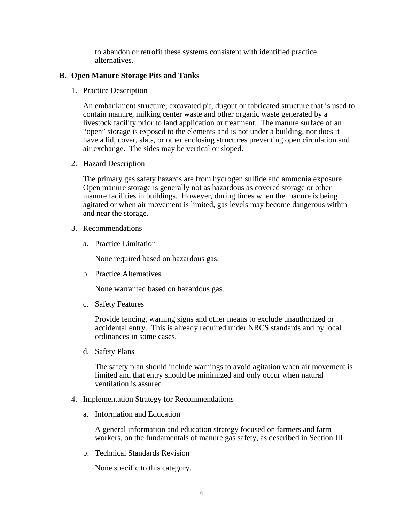to abandon or retrofit these systems consistent with identified practice alternatives.

## **B. Open Manure Storage Pits and Tanks**

1. Practice Description

An embankment structure, excavated pit, dugout or fabricated structure that is used to contain manure, milking center waste and other organic waste generated by a livestock facility prior to land application or treatment. The manure surface of an "open" storage is exposed to the elements and is not under a building, nor does it have a lid, cover, slats, or other enclosing structures preventing open circulation and air exchange. The sides may be vertical or sloped.

2. Hazard Description

The primary gas safety hazards are from hydrogen sulfide and ammonia exposure. Open manure storage is generally not as hazardous as covered storage or other manure facilities in buildings. However, during times when the manure is being agitated or when air movement is limited, gas levels may become dangerous within and near the storage.

- 3. Recommendations
	- a. Practice Limitation

None required based on hazardous gas.

b. Practice Alternatives

None warranted based on hazardous gas.

c. Safety Features

Provide fencing, warning signs and other means to exclude unauthorized or accidental entry. This is already required under NRCS standards and by local ordinances in some cases.

d. Safety Plans

The safety plan should include warnings to avoid agitation when air movement is limited and that entry should be minimized and only occur when natural ventilation is assured.

- 4. Implementation Strategy for Recommendations
	- a. Information and Education

A general information and education strategy focused on farmers and farm workers, on the fundamentals of manure gas safety, as described in Section III.

b. Technical Standards Revision

None specific to this category.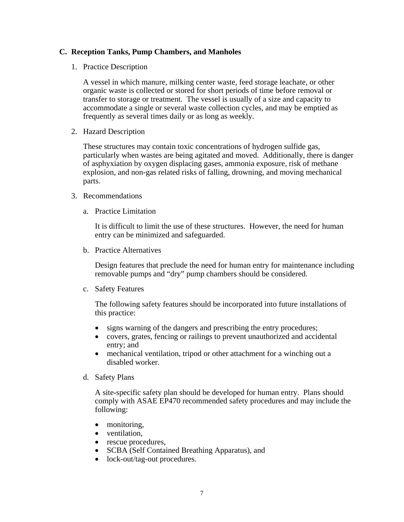## **C. Reception Tanks, Pump Chambers, and Manholes**

1. Practice Description

A vessel in which manure, milking center waste, feed storage leachate, or other organic waste is collected or stored for short periods of time before removal or transfer to storage or treatment. The vessel is usually of a size and capacity to accommodate a single or several waste collection cycles, and may be emptied as frequently as several times daily or as long as weekly.

2. Hazard Description

These structures may contain toxic concentrations of hydrogen sulfide gas, particularly when wastes are being agitated and moved. Additionally, there is danger of asphyxiation by oxygen displacing gases, ammonia exposure, risk of methane explosion, and non-gas related risks of falling, drowning, and moving mechanical parts.

- 3. Recommendations
	- a. Practice Limitation

It is difficult to limit the use of these structures. However, the need for human entry can be minimized and safeguarded.

b. Practice Alternatives

Design features that preclude the need for human entry for maintenance including removable pumps and "dry" pump chambers should be considered.

c. Safety Features

The following safety features should be incorporated into future installations of this practice:

- signs warning of the dangers and prescribing the entry procedures;
- covers, grates, fencing or railings to prevent unauthorized and accidental entry; and
- mechanical ventilation, tripod or other attachment for a winching out a disabled worker.
- d. Safety Plans

A site-specific safety plan should be developed for human entry. Plans should comply with ASAE EP470 recommended safety procedures and may include the following:

- monitoring,
- ventilation.
- rescue procedures,
- SCBA (Self Contained Breathing Apparatus), and
- lock-out/tag-out procedures.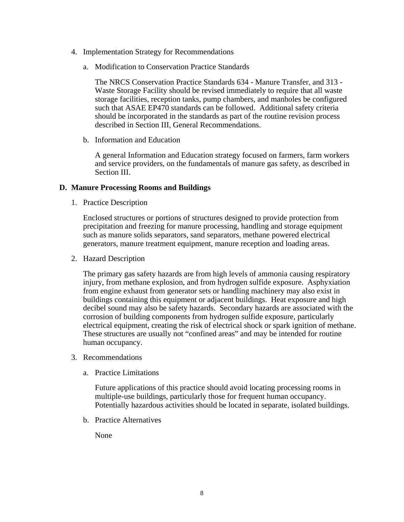- 4. Implementation Strategy for Recommendations
	- a. Modification to Conservation Practice Standards

The NRCS Conservation Practice Standards 634 - Manure Transfer, and 313 - Waste Storage Facility should be revised immediately to require that all waste storage facilities, reception tanks, pump chambers, and manholes be configured such that ASAE EP470 standards can be followed. Additional safety criteria should be incorporated in the standards as part of the routine revision process described in Section III, General Recommendations.

b. Information and Education

A general Information and Education strategy focused on farmers, farm workers and service providers, on the fundamentals of manure gas safety, as described in Section III.

## **D. Manure Processing Rooms and Buildings**

1. Practice Description

Enclosed structures or portions of structures designed to provide protection from precipitation and freezing for manure processing, handling and storage equipment such as manure solids separators, sand separators, methane powered electrical generators, manure treatment equipment, manure reception and loading areas.

2. Hazard Description

The primary gas safety hazards are from high levels of ammonia causing respiratory injury, from methane explosion, and from hydrogen sulfide exposure. Asphyxiation from engine exhaust from generator sets or handling machinery may also exist in buildings containing this equipment or adjacent buildings. Heat exposure and high decibel sound may also be safety hazards. Secondary hazards are associated with the corrosion of building components from hydrogen sulfide exposure, particularly electrical equipment, creating the risk of electrical shock or spark ignition of methane. These structures are usually not "confined areas" and may be intended for routine human occupancy.

- 3. Recommendations
	- a. Practice Limitations

Future applications of this practice should avoid locating processing rooms in multiple-use buildings, particularly those for frequent human occupancy. Potentially hazardous activities should be located in separate, isolated buildings.

b. Practice Alternatives

None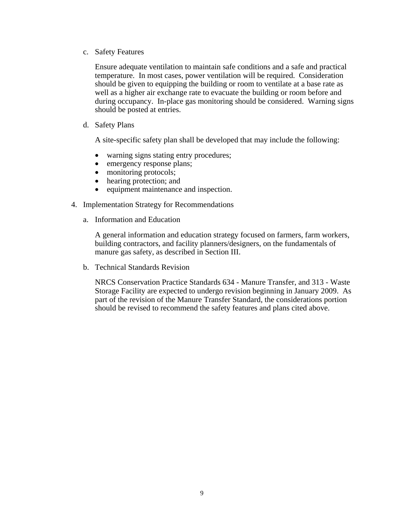c. Safety Features

Ensure adequate ventilation to maintain safe conditions and a safe and practical temperature. In most cases, power ventilation will be required. Consideration should be given to equipping the building or room to ventilate at a base rate as well as a higher air exchange rate to evacuate the building or room before and during occupancy. In-place gas monitoring should be considered. Warning signs should be posted at entries.

d. Safety Plans

A site-specific safety plan shall be developed that may include the following:

- warning signs stating entry procedures;
- emergency response plans;
- monitoring protocols;
- hearing protection; and
- equipment maintenance and inspection.
- 4. Implementation Strategy for Recommendations
	- a. Information and Education

A general information and education strategy focused on farmers, farm workers, building contractors, and facility planners/designers, on the fundamentals of manure gas safety, as described in Section III.

b. Technical Standards Revision

NRCS Conservation Practice Standards 634 - Manure Transfer, and 313 - Waste Storage Facility are expected to undergo revision beginning in January 2009. As part of the revision of the Manure Transfer Standard, the considerations portion should be revised to recommend the safety features and plans cited above.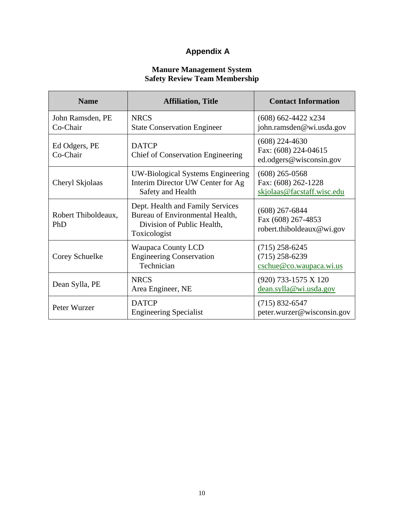# **Appendix A**

## **Manure Management System Safety Review Team Membership**

| <b>Name</b>                  | <b>Affiliation, Title</b>                                                                                         | <b>Contact Information</b>                                            |
|------------------------------|-------------------------------------------------------------------------------------------------------------------|-----------------------------------------------------------------------|
| John Ramsden, PE<br>Co-Chair | <b>NRCS</b><br><b>State Conservation Engineer</b>                                                                 | $(608)$ 662-4422 x234<br>john.ramsden@wi.usda.gov                     |
| Ed Odgers, PE<br>Co-Chair    | <b>DATCP</b><br><b>Chief of Conservation Engineering</b>                                                          | $(608)$ 224-4630<br>Fax: (608) 224-04615<br>ed.odgers@wisconsin.gov   |
| Cheryl Skjolaas              | <b>UW-Biological Systems Engineering</b><br>Interim Director UW Center for Ag<br>Safety and Health                | $(608)$ 265-0568<br>Fax: (608) 262-1228<br>skjolaas@facstaff.wisc.edu |
| Robert Thiboldeaux,<br>PhD   | Dept. Health and Family Services<br>Bureau of Environmental Health,<br>Division of Public Health,<br>Toxicologist | $(608)$ 267-6844<br>Fax (608) 267-4853<br>robert.thiboldeaux@wi.gov   |
| Corey Schuelke               | Waupaca County LCD<br><b>Engineering Conservation</b><br>Technician                                               | $(715)$ 258-6245<br>$(715)$ 258-6239<br>cschue@co.waupaca.wi.us       |
| Dean Sylla, PE               | <b>NRCS</b><br>Area Engineer, NE                                                                                  | (920) 733-1575 X 120<br>dean.sylla@wi.usda.gov                        |
| Peter Wurzer                 | <b>DATCP</b><br><b>Engineering Specialist</b>                                                                     | $(715) 832 - 6547$<br>peter.wurzer@wisconsin.gov                      |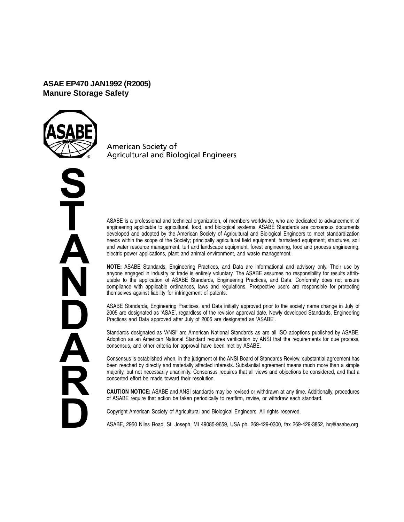## **ASAE EP470 JAN1992 (R2005) Manure Storage Safety**



**S T A N D A R D**

American Society of **Agricultural and Biological Engineers** 

ASABE is a professional and technical organization, of members worldwide, who are dedicated to advancement of engineering applicable to agricultural, food, and biological systems. ASABE Standards are consensus documents developed and adopted by the American Society of Agricultural and Biological Engineers to meet standardization needs within the scope of the Society; principally agricultural field equipment, farmstead equipment, structures, soil and water resource management, turf and landscape equipment, forest engineering, food and process engineering, electric power applications, plant and animal environment, and waste management.

**NOTE:** ASABE Standards, Engineering Practices, and Data are informational and advisory only. Their use by anyone engaged in industry or trade is entirely voluntary. The ASABE assumes no responsibility for results attributable to the application of ASABE Standards, Engineering Practices, and Data. Conformity does not ensure compliance with applicable ordinances, laws and regulations. Prospective users are responsible for protecting themselves against liability for infringement of patents.

ASABE Standards, Engineering Practices, and Data initially approved prior to the society name change in July of 2005 are designated as 'ASAE', regardless of the revision approval date. Newly developed Standards, Engineering Practices and Data approved after July of 2005 are designated as 'ASABE'.

Standards designated as 'ANSI' are American National Standards as are all ISO adoptions published by ASABE. Adoption as an American National Standard requires verification by ANSI that the requirements for due process, consensus, and other criteria for approval have been met by ASABE.

Consensus is established when, in the judgment of the ANSI Board of Standards Review, substantial agreement has been reached by directly and materially affected interests. Substantial agreement means much more than a simple majority, but not necessarily unanimity. Consensus requires that all views and objections be considered, and that a concerted effort be made toward their resolution.

**CAUTION NOTICE:** ASABE and ANSI standards may be revised or withdrawn at any time. Additionally, procedures of ASABE require that action be taken periodically to reaffirm, revise, or withdraw each standard.

Copyright American Society of Agricultural and Biological Engineers. All rights reserved.

ASABE, 2950 Niles Road, St. Joseph, MI 49085-9659, USA ph. 269-429-0300, fax 269-429-3852, hq@asabe.org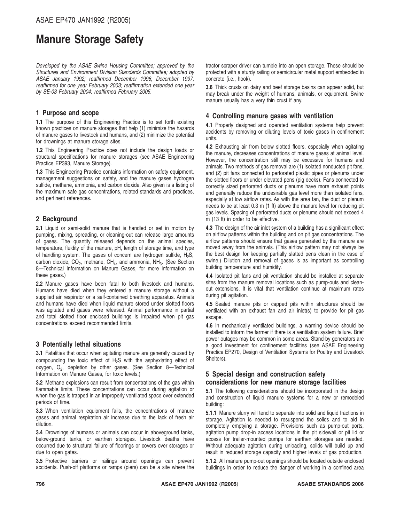# **Manure Storage Safety**

*Developed by the ASAE Swine Housing Committee; approved by the Structures and Environment Division Standards Committee; adopted by ASAE January 1992; reaffirmed December 1996, December 1997, reaffirmed for one year February 2003; reaffirmation extended one year by SE-03 February 2004; reaffirmed February 2005.*

#### **1 Purpose and scope**

**1.1** The purpose of this Engineering Practice is to set forth existing known practices on manure storages that help (1) minimize the hazards of manure gases to livestock and humans, and (2) minimize the potential for drownings at manure storage sites.

**1.2** This Engineering Practice does not include the design loads or structural specifications for manure storages (see ASAE Engineering Practice EP393, Manure Storage).

**1.3** This Engineering Practice contains information on safety equipment, management suggestions on safety, and the manure gases hydrogen sulfide, methane, ammonia, and carbon dioxide. Also given is a listing of the maximum safe gas concentrations, related standards and practices, and pertinent references.

### **2 Background**

**2.1** Liquid or semi-solid manure that is handled or set in motion by pumping, mixing, spreading, or cleaning-out can release large amounts of gases. The quantity released depends on the animal species, temperature, fluidity of the manure, pH, length of storage time, and type of handling system. The gases of concern are hydrogen sulfide,  $H_2S$ , carbon dioxide,  $CO<sub>2</sub>$ , methane,  $CH<sub>4</sub>$ , and ammonia, NH<sub>3</sub>. (See Section 8—Technical Information on Manure Gases, for more information on these gases.)

**2.2** Manure gases have been fatal to both livestock and humans. Humans have died when they entered a manure storage without a supplied air respirator or a self-contained breathing apparatus. Animals and humans have died when liquid manure stored under slotted floors was agitated and gases were released. Animal performance in partial and total slotted floor enclosed buildings is impaired when pit gas concentrations exceed recommended limits.

#### **3 Potentially lethal situations**

**3.1** Fatalities that occur when agitating manure are generally caused by compounding the toxic effect of H2S with the asphyxiating effect of oxygen, O<sub>2</sub>, depletion by other gases. (See Section 8-Technical Information on Manure Gases, for toxic levels.)

**3.2** Methane explosions can result from concentrations of the gas within flammable limits. These concentrations can occur during agitation or when the gas is trapped in an improperly ventilated space over extended periods of time.

**3.3** When ventilation equipment fails, the concentrations of manure gases and animal respiration air increase due to the lack of fresh air dilution.

**3.4** Drownings of humans or animals can occur in aboveground tanks, below-ground tanks, or earthen storages. Livestock deaths have occurred due to structural failure of floorings or covers over storages or due to open gates.

**3.5** Protective barriers or railings around openings can prevent accidents. Push-off platforms or ramps (piers) can be a site where the

tractor scraper driver can tumble into an open storage. These should be protected with a sturdy railing or semicircular metal support embedded in concrete (i.e., hook).

**3.6** Thick crusts on dairy and beef storage basins can appear solid, but may break under the weight of humans, animals, or equipment. Swine manure usually has a very thin crust if any.

### **4 Controlling manure gases with ventilation**

**4.1** Properly designed and operated ventilation systems help prevent accidents by removing or diluting levels of toxic gases in confinement units.

**4.2** Exhausting air from below slotted floors, especially when agitating the manure, decreases concentrations of manure gases at animal level. However, the concentration still may be excessive for humans and animals. Two methods of gas removal are (1) isolated nonducted pit fans, and (2) pit fans connected to perforated plastic pipes or plenums under the slotted floors or under elevated pens (pig decks). Fans connected to correctly sized perforated ducts or plenums have more exhaust points and generally reduce the undesirable gas level more than isolated fans, especially at low airflow rates. As with the area fan, the duct or plenum needs to be at least 0.3 m (1 ft) above the manure level for reducing pit gas levels. Spacing of perforated ducts or plenums should not exceed 4 m (13 ft) in order to be effective.

**4.3** The design of the air inlet system of a building has a significant effect on airflow patterns within the building and on pit gas concentrations. The airflow patterns should ensure that gases generated by the manure are moved away from the animals. (This airflow pattern may not always be the best design for keeping partially slatted pens clean in the case of swine.) Dilution and removal of gases is as important as controlling building temperature and humidity.

**4.4** Isolated pit fans and pit ventilation should be installed at separate sites from the manure removal locations such as pump-outs and cleanout extensions. It is vital that ventilation continue at maximum rates during pit agitation.

**4.5** Sealed manure pits or capped pits within structures should be ventilated with an exhaust fan and air inlet(s) to provide for pit gas escape.

**4.6** In mechanically ventilated buildings, a warning device should be installed to inform the farmer if there is a ventilation system failure. Brief power outages may be common in some areas. Stand-by generators are a good investment for confinement facilities (see ASAE Engineering Practice EP270, Design of Ventilation Systems for Poultry and Livestock Shelters).

## **5 Special design and construction safety considerations for new manure storage facilities**

**5.1** The following considerations should be incorporated in the design and construction of liquid manure systems for a new or remodeled building:

**5.1.1** Manure slurry will tend to separate into solid and liquid fractions in storage. Agitation is needed to resuspend the solids and to aid in completely emptying a storage. Provisions such as pump-out ports, agitation pump drop-in access locations in the pit sidewall or pit lid or access for trailer-mounted pumps for earthen storages are needed. Without adequate agitation during unloading, solids will build up and result in reduced storage capacity and higher levels of gas production.

**5.1.2** All manure pump-out openings should be located outside enclosed buildings in order to reduce the danger of working in a confined area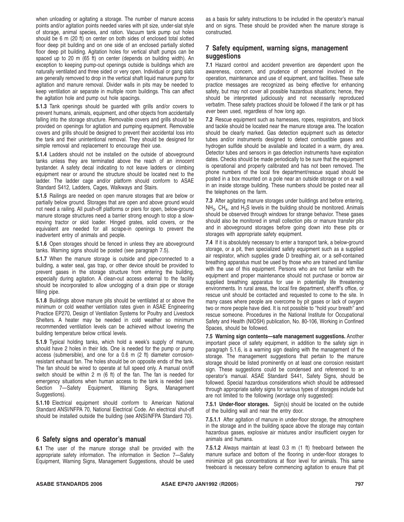when unloading or agitating a storage. The number of manure access points and/or agitation points needed varies with pit size, under-slat style of storage, animal species, and ration. Vacuum tank pump out holes should be 6 m (20 ft) on center on both sides of enclosed total slotted floor deep pit building and on one side of an enclosed partially slotted floor deep pit building. Agitation holes for vertical shaft pumps can be spaced up to 20 m (65 ft) on center (depends on building width). An exception to keeping pump-out openings outside is buildings which are naturally ventilated and three sided or very open. Individual or gang slats are generally removed to drop in the vertical shaft liquid manure pump for agitation and manure removal. Divider walls in pits may be needed to keep ventilation air separate in multiple room buildings. This can affect the agitation hole and pump out hole spacings.

**5.1.3** Tank openings should be guarded with grills and/or covers to prevent humans, animals, equipment, and other objects from accidentally falling into the storage structure. Removable covers and grills should be provided on openings for agitation and pumping equipment. Removable covers and grills should be designed to prevent their accidental loss into the tank and their unintentional removal. They should be designed for simple removal and replacement to encourage their use.

**5.1.4** Ladders should not be installed on the outside of aboveground tanks unless they are terminated above the reach of an innocent bystander. A safety decal indicating to not leave ladders or climbing equipment near or around the structure should be located next to the ladder. The ladder cage and/or platform should conform to ASAE Standard S412, Ladders, Cages, Walkways and Stairs.

**5.1.5** Railings are needed on open manure storages that are below or partially below ground. Storages that are open and above ground would not need a railing. All push-off platforms or piers for open, below-ground manure storage structures need a barrier strong enough to stop a slowmoving tractor or skid loader. Hinged grates, solid covers, or the equivalent are needed for all scrape-in openings to prevent the inadvertent entry of animals and people.

**5.1.6** Open storages should be fenced in unless they are aboveground tanks. Warning signs should be posted (see paragraph 7.5).

**5.1.7** When the manure storage is outside and pipe-connected to a building, a water seal, gas trap, or other device should be provided to prevent gases in the storage structure from entering the building, especially during agitation. A clean-out access external to the facility should be incorporated to allow unclogging of a drain pipe or storage filling pipe.

**5.1.8** Buildings above manure pits should be ventilated at or above the minimum or cold weather ventilation rates given in ASAE Engineering Practice EP270, Design of Ventilation Systems for Poultry and Livestock Shelters. A heater may be needed in cold weather so minimum recommended ventilation levels can be achieved without lowering the building temperature below critical levels.

**5.1.9** Typical holding tanks, which hold a week's supply of manure, should have 2 holes in their lids. One is needed for the pump or pump access (submersible), and one for a 0.6 m (2 ft) diameter corrosionresistant exhaust fan. The holes should be on opposite ends of the tank. The fan should be wired to operate at full speed only. A manual on/off switch should be within 2 m (6 ft) of the fan. The fan is needed for emergency situations when human access to the tank is needed (see Section 7—Safety Equipment, Warning Signs, Management Suggestions).

**5.1.10** Electrical equipment should conform to American National Standard ANSI/NFPA 70, National Electrical Code. An electrical shut-off should be installed outside the building (see ANSI/NFPA Standard 70).

#### **6 Safety signs and operator's manual**

**6.1** The user of the manure storage shall be provided with the appropriate safety information. The information in Section 7—Safety Equipment, Warning Signs, Management Suggestions, should be used as a basis for safety instructions to be included in the operator's manual and on signs. These should be provided when the manure storage is constructed.

## **7 Safety equipment, warning signs, management suggestions**

**7.1** Hazard control and accident prevention are dependent upon the awareness, concern, and prudence of personnel involved in the operation, maintenance and use of equipment, and facilities. These safe practice messages are recognized as being effective for enhancing safety, but may not cover all possible hazardous situations; hence, they should be interpreted judiciously and not necessarily reproduced verbatim. These safety practices should be followed if the tank or pit has *ever* been used, regardless of how long ago.

**7.2** Rescue equipment such as harnesses, ropes, respirators, and block and tackle should be located near the manure storage area. The location should be clearly marked. Gas detection equipment such as detector tubes and/or instruments designed to detect combustible gases and hydrogen sulfide should be available and located in a warm, dry area. Detector tubes and sensors in gas detection instruments have expiration dates. Checks should be made periodically to be sure that the equipment is operational and properly calibrated and has not been removed. The phone numbers of the local fire department/rescue squad should be posted in a box mounted on a pole near an outside storage or on a wall in an inside storage building. These numbers should be posted near all the telephones on the farm.

**7.3** After agitating manure storages under buildings and before entering,  $NH<sub>3</sub>$ , CH<sub>4</sub>, and H<sub>2</sub>S levels in the building should be monitored. Animals should be observed through windows for strange behavior. These gases should also be monitored in small collection pits or manure transfer pits and in aboveground storages before going down into these pits or storages with appropriate safety equipment.

**7.4** If it is absolutely necessary to enter a transport tank, a below-ground storage, or a pit, then specialized safety equipment such as a supplied air respirator, which supplies grade D breathing air, or a self-contained breathing apparatus must be used by those who are trained and familiar with the use of this equipment. Persons who are not familiar with the equipment and proper maintenance should not purchase or borrow air supplied breathing apparatus for use in potentially life threatening environments. In rural areas, the local fire department, sheriff's office, or rescue unit should be contacted and requested to come to the site. In many cases where people are overcome by pit gases or lack of oxygen two or more people have died. It is not possible to ''hold your breath'' and rescue someone. Procedures in the National Institute for Occupational Safety and Health (NIOSH) publication, No. 80-106, Working in Confined Spaces, should be followed.

**7.5 Warning sign contents—safe management suggestions.** Another important piece of safety equipment, in addition to the safety sign in paragraph 5.1.6, is a warning sign dealing with the management of the storage. The management suggestions that pertain to the manure storage should be listed prominently on at least one corrosion resistant sign. These suggestions could be condensed and referenced to an operator's manual. ASAE Standard S441, Safety Signs, should be followed. Special hazardous considerations which should be addressed through appropriate safety signs for various types of storages include but are not limited to the following (wordage only suggested):

**7.5.1 Under-floor storages.** Sign(s) should be located on the outside of the building wall and near the entry door.

**7.5.1.1** After agitation of manure in under-floor storage, the atmosphere in the storage and in the building space above the storage may contain hazardous gases, explosive air mixtures and/or insufficient oxygen for animals and humans.

**7.5.1.2** Always maintain at least 0.3 m (1 ft) freeboard between the manure surface and bottom of the flooring in under-floor storages to minimize pit gas concentrations at floor level for animals. This same freeboard is necessary before commencing agitation to ensure that pit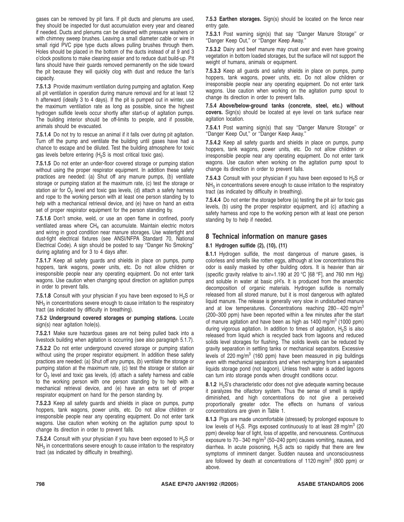gases can be removed by pit fans. If pit ducts and plenums are used, they should be inspected for dust accumulation every year and cleaned if needed. Ducts and plenums can be cleaned with pressure washers or with chimney sweep brushes. Leaving a small diameter cable or wire in small rigid PVC pipe type ducts allows pulling brushes through them. Holes should be placed in the bottom of the ducts instead of at 9 and 3 o'clock positions to make cleaning easier and to reduce dust build-up. Pit fans should have their guards removed permanently on the side toward the pit because they will quickly clog with dust and reduce the fan's capacity.

**7.5.1.3** Provide maximum ventilation during pumping and agitation. Keep all pit ventilation in operation during manure removal and for at least 12 h afterward (ideally 3 to 4 days). If the pit is pumped out in winter, use the maximum ventilation rate as long as possible, since the highest hydrogen sulfide levels occur shortly after start-up of agitation pumps. The building interior should be off-limits to people, and if possible, animals should be evacuated.

**7.5.1.4** Do not try to rescue an animal if it falls over during pit agitation. Turn off the pump and ventilate the building until gases have had a chance to escape and be diluted. Test the building atmosphere for toxic gas levels before entering  $(H<sub>2</sub>S)$  is most critical toxic gas).

**7.5.1.5** Do not enter an under-floor covered storage or pumping station without using the proper respirator equipment. In addition these safety practices are needed: (a) Shut off any manure pumps, (b) ventilate storage or pumping station at the maximum rate, (c) test the storage or station air for  $O<sub>2</sub>$  level and toxic gas levels, (d) attach a safety harness and rope to the working person with at least one person standing by to help with a mechanical retrieval device, and (e) have on hand an extra set of proper respirator equipment for the person standing by.

**7.5.1.6** Don't smoke, weld, or use an open flame in confined, poorly ventilated areas where  $CH<sub>4</sub>$  can accumulate. Maintain electric motors and wiring in good condition near manure storages. Use watertight and dust-tight electrical fixtures (see ANSI/NFPA Standard 70, National Electrical Code). A sign should be posted to say ''Danger No Smoking'' during agitating and for 3 to 4 days after.

**7.5.1.7** Keep all safety guards and shields in place on pumps, pump hoppers, tank wagons, power units, etc. Do not allow children or irresponsible people near any operating equipment. Do not enter tank wagons. Use caution when changing spout direction on agitation pumps in order to prevent falls.

**7.5.1.8** Consult with your physician if you have been exposed to  $H_2S$  or  $NH<sub>3</sub>$  in concentrations severe enough to cause irritation to the respiratory tract (as indicated by difficulty in breathing).

#### **7.5.2 Underground covered storages or pumping stations.** Locate sign(s) near agitation hole(s).

**7.5.2.1** Make sure hazardous gases are not being pulled back into a livestock building when agitation is occurring (see also paragraph 5.1.7).

**7.5.2.2** Do not enter underground covered storage or pumping station without using the proper respirator equipment. In addition these safety practices are needed: (a) Shut off any pumps, (b) ventilate the storage or pumping station at the maximum rate, (c) test the storage or station air for  $O<sub>2</sub>$  level and toxic gas levels, (d) attach a safety harness and cable to the working person with one person standing by to help with a mechanical retrieval device, and (e) have an extra set of proper respirator equipment on hand for the person standing by.

**7.5.2.3** Keep all safety guards and shields in place on pumps, pump hoppers, tank wagons, power units, etc. Do not allow children or irresponsible people near any operating equipment. Do not enter tank wagons. Use caution when working on the agitation pump spout to change its direction in order to prevent falls.

**7.5.2.4** Consult with your physician if you have been exposed to  $H_2S$  or  $NH<sub>3</sub>$  in concentrations severe enough to cause irritation to the respiratory tract (as indicated by difficulty in breathing).

**7.5.3 Earthen storages.** Sign(s) should be located on the fence near entry gate.

**7.5.3.1** Post warning sign(s) that say ''Danger Manure Storage'' or ''Danger Keep Out,'' or ''Danger Keep Away.''

**7.5.3.2** Dairy and beef manure may crust over and even have growing vegetation in bottom loaded storages, but the surface will not support the weight of humans, animals or equipment.

**7.5.3.3** Keep all guards and safety shields in place on pumps, pump hoppers, tank wagons, power units, etc. Do not allow children or irresponsible people near any operating equipment. Do not enter tank wagons. Use caution when working on the agitation pump spout to change its direction in order to prevent falls.

**7.5.4 Above/below-ground tanks (concrete, steel, etc.) without covers.** Sign(s) should be located at eye level on tank surface near agitation location.

**7.5.4.1** Post warning sign(s) that say ''Danger Manure Storage'' or ''Danger Keep Out,'' or ''Danger Keep Away.''

**7.5.4.2** Keep all safety guards and shields in place on pumps, pump hoppers, tank wagons, power units, etc. Do not allow children or irresponsible people near any operating equipment. Do not enter tank wagons. Use caution when working on the agitation pump spout to change its direction in order to prevent falls.

**7.5.4.3** Consult with your physician if you have been exposed to  $H_2S$  or  $NH<sub>3</sub>$  in concentrations severe enough to cause irritation to the respiratory tract (as indicated by difficulty in breathing).

**7.5.4.4** Do not enter the storage before (a) testing the pit air for toxic gas levels, (b) using the proper respirator equipment, and (c) attaching a safety harness and rope to the working person with at least one person standing by to help if needed.

#### **8 Technical information on manure gases**

#### **8.1 Hydrogen sulfide (2), (10), (11)**

**8.1.1** Hydrogen sulfide, the most dangerous of manure gases, is colorless and smells like rotten eggs, although at low concentrations this odor is easily masked by other building odors. It is heavier than air (specific gravity relative to air=1.190 at 20 °C [68 °F], and 760 mm Hg) and soluble in water at basic pH's. It is produced from the anaerobic decomposition of organic materials. Hydrogen sulfide is normally released from all stored manure, but it is most dangerous with agitated liquid manure. The release is generally very slow in undisturbed manure and at low temperatures. Concentrations reaching  $280 - 420$  mg/m<sup>3</sup> (200–300 ppm) have been reported within a few minutes after the start of manure agitation and have been as high as  $1400 \text{ mg/m}^3$  (1000 ppm) during vigorous agitation. In addition to times of agitation,  $H<sub>2</sub>S$  is also released from liquid which is recycled back from lagoons and reduced solids level storages for flushing. The solids levels can be reduced by gravity separation in settling tanks or mechanical separators. Excessive levels of 220 mg/ $m^3$  (160 ppm) have been measured in pig buildings even with mechanical separators and when recharging from a separated liquids storage pond (not lagoon). Unless fresh water is added lagoons can turn into storage ponds when drought conditions occur.

**8.1.2** H<sub>2</sub>S's characteristic odor does not give adequate warning because it paralyzes the olfactory system. Thus the sense of smell is rapidly diminished, and high concentrations do not give a perceived proportionally greater odor. The effects on humans of various concentrations are given in Table 1.

**8.1.3** Pigs are made uncomfortable (stressed) by prolonged exposure to low levels of H<sub>2</sub>S. Pigs exposed continuously to at least 28 mg/m<sup>3</sup> (20) ppm) develop fear of light, loss of appetite, and nervousness. Continuous exposure to  $70-340$  mg/m<sup>3</sup> (50–240 ppm) causes vomiting, nausea, and diarrhea. In acute poisoning, H<sub>2</sub>S acts so rapidly that there are few symptoms of imminent danger. Sudden nausea and unconsciousness are followed by death at concentrations of 1120 mg/m<sup>3</sup> (800 ppm) or above.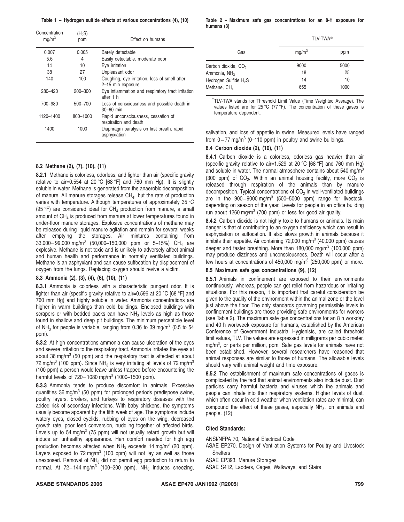**Table 1 – Hydrogen sulfide effects at various concentrations (4), (10)**

| Concentration<br>mg/m <sup>3</sup> | (H <sub>2</sub> S)<br>ppm | Effect on humans                                                   |
|------------------------------------|---------------------------|--------------------------------------------------------------------|
| 0.007                              | 0.005                     | Barely detectable                                                  |
| 5.6                                | 4                         | Easily detectable, moderate odor                                   |
| 14                                 | 10                        | Eye irritation                                                     |
| 38                                 | 27                        | Unpleasant odor                                                    |
| 140                                | 100                       | Coughing, eye irritation, loss of smell after<br>2-15 min exposure |
| 280-420                            | 200-300                   | Eye inflammation and respiratory tract irritation<br>after 1 h     |
| 700-980                            | 500-700                   | Loss of consciousness and possible death in<br>$30 - 60$ min       |
| 1120-1400                          | 800-1000                  | Rapid unconsciousness, cessation of<br>respiration and death       |
| 1400                               | 1000                      | Diaphragm paralysis on first breath, rapid<br>asphyxiation         |

#### **8.2 Methane (2), (7), (10), (11)**

**8.2.1** Methane is colorless, odorless, and lighter than air (specific gravity relative to air=0.554 at 20 °C [68 °F] and 760 mm Hg). It is slightly soluble in water. Methane is generated from the anaerobic decomposition of manure. All manure storages release  $CH<sub>4</sub>$ , but the rate of production varies with temperature. Although temperatures of approximately 35 °C (95 °F) are considered ideal for  $CH_4$  production from manure, a small amount of  $CH<sub>4</sub>$  is produced from manure at lower temperatures found in under-floor manure storages. Explosive concentrations of methane may be released during liquid manure agitation and remain for several weeks after emptying the storages. Air mixtures containing from 33,000–99,000 mg/m<sup>3</sup> (50,000–150,000 ppm or 5–15%) CH<sub>4</sub> are explosive. Methane is not toxic and is unlikely to adversely affect animal and human health and performance in normally ventilated buildings. Methane is an asphyxiant and can cause suffocation by displacement of oxygen from the lungs. Replacing oxygen should revive a victim.

#### **8.3 Ammonia (2), (3), (4), (6), (10), (11)**

**8.3.1** Ammonia is colorless with a characteristic pungent odor. It is lighter than air (specific gravity relative to air=0.596 at 20 °C [68 °F] and 760 mm Hg) and highly soluble in water. Ammonia concentrations are higher in warm buildings than cold buildings. Enclosed buildings with scrapers or with bedded packs can have  $NH<sub>3</sub>$  levels as high as those found in shallow and deep pit buildings. The minimum perceptible level of NH<sub>3</sub> for people is variable, ranging from 0.36 to 39 mg/m<sup>3</sup> (0.5 to 54) ppm).

**8.3.2** At high concentrations ammonia can cause ulceration of the eyes and severe irritation to the respiratory tract. Ammonia irritates the eyes at about 36 mg/m<sup>3</sup> (50 ppm) and the respiratory tract is affected at about 72 mg/m<sup>3</sup> (100 ppm). Since NH<sub>3</sub> is very irritating at levels of 72 mg/m<sup>3</sup> (100 ppm) a person would leave unless trapped before encountering the harmful levels of  $720 - 1080$  mg/m<sup>3</sup> (1000-1500 ppm).

**8.3.3** Ammonia tends to produce discomfort in animals. Excessive quantities  $36 \text{ mg/m}^3$  (50 ppm) for prolonged periods predispose swine, poultry layers, broilers, and turkeys to respiratory diseases with the added risk of secondary infections. With baby chickens, the symptoms usually become apparent by the fifth week of age. The symptoms include watery eyes, closed eyelids, rubbing of eyes on the wing, decreased growth rate, poor feed conversion, huddling together of affected birds. Levels up to 54 mg/m<sup>3</sup> (75 ppm) will not usually retard growth but will induce an unhealthy appearance. Hen comfort needed for high egg production becomes affected when  $NH<sub>3</sub>$  exceeds 14 mg/m<sup>3</sup> (20 ppm). Layers exposed to  $72 \text{ mg/m}^3$  (100 ppm) will not lay as well as those unexposed. Removal of NH<sub>3</sub> did not permit egg production to return to normal. At  $72-144 \text{ mg/m}^3$  (100-200 ppm), NH<sub>3</sub> induces sneezing,

#### **Table 2 – Maximum safe gas concentrations for an 8-H exposure for humans (3)**

|                                   | TLV-TWA*          |      |
|-----------------------------------|-------------------|------|
| Gas                               | mg/m <sup>3</sup> | ppm  |
| Carbon dioxide, CO <sub>2</sub>   | 9000              | 5000 |
| Ammonia, NH <sub>3</sub>          | 18                | 25   |
| Hydrogen Sulfide H <sub>2</sub> S | 14                | 10   |
| Methane, CH <sub>4</sub>          | 655               | 1000 |

\*TLV-TWA stands for Threshold Limit Value (Time Weighted Average). The values listed are for 25 °C (77 °F). The concentration of these gases is temperature dependent.

salivation, and loss of appetite in swine. Measured levels have ranged from  $0 - 77$  mg/m<sup>3</sup> (0–110 ppm) in poultry and swine buildings.

#### **8.4 Carbon dioxide (2), (10), (11)**

**8.4.1** Carbon dioxide is a colorless, odorless gas heavier than air (specific gravity relative to air=1.529 at 20  $^{\circ}$ C [68  $^{\circ}$ F] and 760 mm Hg) and soluble in water. The normal atmosphere contains about 540 mg/m<sup>3</sup> (300 ppm) of  $CO<sub>2</sub>$ . Within an animal housing facility, more  $CO<sub>2</sub>$  is released through respiration of the animals than by manure decomposition. Typical concentrations of  $CO<sub>2</sub>$  in well-ventilated buildings are in the  $900-9000 \text{ mg/m}^3$  (500-5000 ppm) range for livestock, depending on season of the year. Levels for people in an office building run about 1260 mg/m<sup>3</sup> (700 ppm) or less for good air quality.

**8.4.2** Carbon dioxide is not highly toxic to humans or animals. Its main danger is that of contributing to an oxygen deficiency which can result in asphyxiation or suffocation. It also slows growth in animals because it inhibits their appetite. Air containing  $72,000 \, \text{mg/m}^3$  (40,000 ppm) causes deeper and faster breathing. More than  $180,000$  mg/m<sup>3</sup> (100,000 ppm) may produce dizziness and unconsciousness. Death will occur after a few hours at concentrations of  $450,000$  mg/m<sup>3</sup> (250,000 ppm) or more.

#### **8.5 Maximum safe gas concentrations (9), (12)**

**8.5.1** Animals in confinement are exposed to their environments continuously, whereas, people can get relief from hazardous or irritating situations. For this reason, it is important that careful consideration be given to the quality of the environment within the animal zone or the level just above the floor. The only standards governing permissible levels in confinement buildings are those providing safe environments for workers (see Table 2). The maximum safe gas concentrations for an 8 h workday and 40 h workweek exposure for humans, established by the American Conference of Government Industrial Hygienists, are called threshold limit values, TLV. The values are expressed in milligrams per cubic meter, mg/m<sup>3</sup>, or parts per million, ppm. Safe gas levels for animals have not been established. However, several researchers have reasoned that animal responses are similar to those of humans. The allowable levels should vary with animal weight and time exposure.

**8.5.2** The establishment of maximum safe concentrations of gases is complicated by the fact that animal environments also include dust. Dust particles carry harmful bacteria and viruses which the animals and people can inhale into their respiratory systems. Higher levels of dust, which often occur in cold weather when ventilation rates are minimal, can compound the effect of these gases, especially  $NH<sub>3</sub>$ , on animals and people. (12)

#### **Cited Standards:**

ANSI/NFPA 70, National Electrical Code

- ASAE EP270, Design of Ventilation Systems for Poultry and Livestock **Shelters**
- ASAE EP393, Manure Storages
- ASAE S412, Ladders, Cages, Walkways, and Stairs